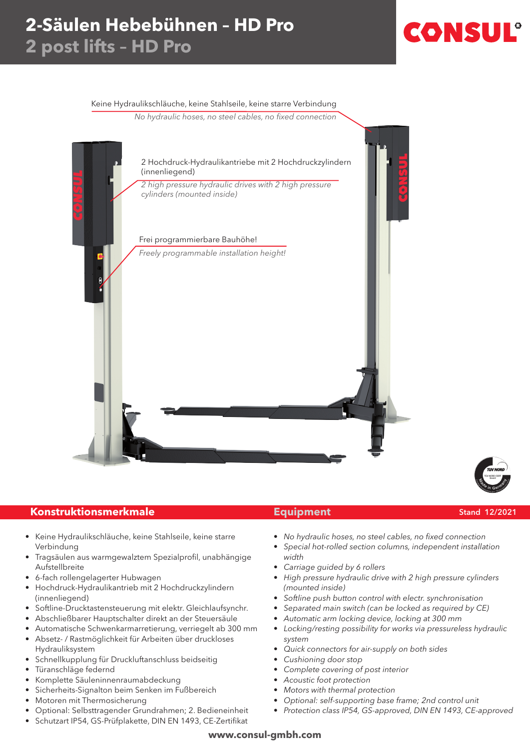## **2-Säulen Hebebühnen – HD Pro 2 post lifts – HD Pro**

# CONSU

#### Keine Hydraulikschläuche, keine Stahlseile, keine starre Verbindung

No hydraulic hoses, no steel cables, no fixed connection





### **Konstruktionsmerkmale Equipment** Stand 12/2021

- Keine Hydraulikschläuche, keine Stahlseile, keine starre Verbindung
- Tragsäulen aus warmgewalztem Spezialprofil, unabhängige Aufstellbreite
- 6-fach rollengelagerter Hubwagen
- Hochdruck-Hydraulikantrieb mit 2 Hochdruckzylindern (innenliegend)
- Softline-Drucktastensteuerung mit elektr. Gleichlaufsynchr.
- Abschließbarer Hauptschalter direkt an der Steuersäule
- Automatische Schwenkarmarretierung, verriegelt ab 300 mm
- • Absetz- / Rastmöglichkeit für Arbeiten über druckloses Hydrauliksystem
- Schnellkupplung für Druckluftanschluss beidseitig
- Türanschläge federnd
- Komplette Säuleninnenraumabdeckung
- Sicherheits-Signalton beim Senken im Fußbereich
- Motoren mit Thermosicherung
- Optional: Selbsttragender Grundrahmen; 2. Bedieneinheit
- Schutzart IP54, GS-Prüfplakette, DIN EN 1493, CE-Zertifikat

- • No hydraulic hoses, no steel cables, no fixed connection
- Special hot-rolled section columns, independent installation width
- Carriage guided by 6 rollers
- High pressure hydraulic drive with 2 high pressure cylinders (mounted inside)
- Softline push button control with electr. synchronisation
- Separated main switch (can be locked as required by CE)
- Automatic arm locking device, locking at 300 mm
- Locking/resting possibility for works via pressureless hydraulic system
- Quick connectors for air-supply on both sides
- Cushioning door stop
- Complete covering of post interior
- Acoustic foot protection
- Motors with thermal protection
- Optional: self-supporting base frame; 2nd control unit
- Protection class IP54, GS-approved, DIN EN 1493, CE-approved

#### **www.consul-gmbh.com**